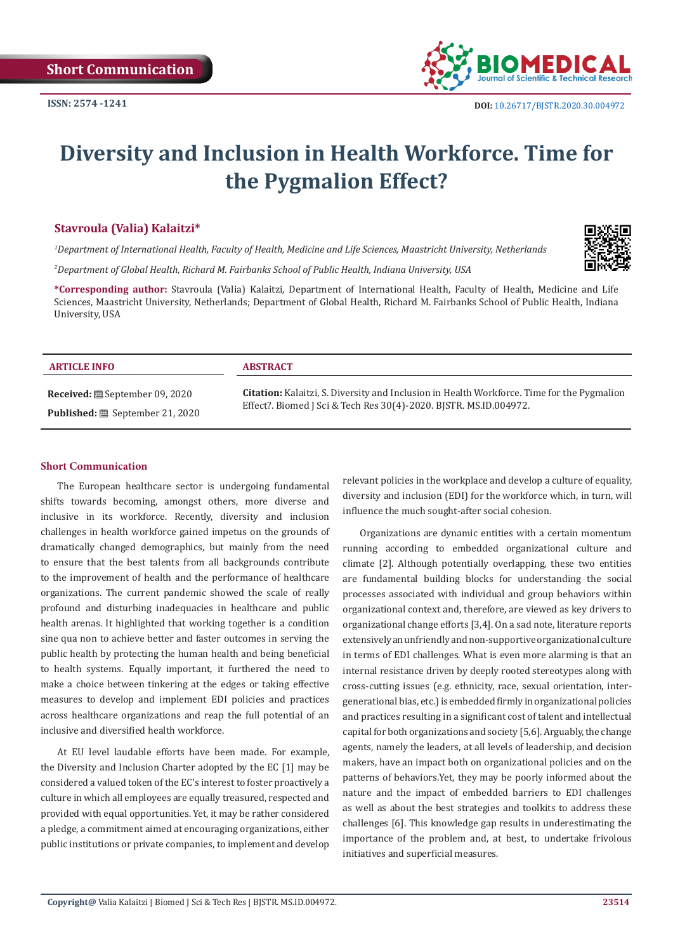

# **Diversity and Inclusion in Health Workforce. Time for the Pygmalion Effect?**

# **Stavroula (Valia) Kalaitzi\***

*1 Department of International Health, Faculty of Health, Medicine and Life Sciences, Maastricht University, Netherlands*

*2 Department of Global Health, Richard M. Fairbanks School of Public Health, Indiana University, USA*

**\*Corresponding author:** Stavroula (Valia) Kalaitzi, Department of International Health, Faculty of Health, Medicine and Life Sciences, Maastricht University, Netherlands; Department of Global Health, Richard M. Fairbanks School of Public Health, Indiana University, USA

| <b>ARTICLE INFO</b>                   | <b>ABSTRACT</b>                                                                                                                                                        |
|---------------------------------------|------------------------------------------------------------------------------------------------------------------------------------------------------------------------|
| <b>Received:</b> . September 09, 2020 | <b>Citation:</b> Kalaitzi, S. Diversity and Inclusion in Health Workforce. Time for the Pygmalion<br>Effect?. Biomed J Sci & Tech Res 30(4)-2020. BJSTR. MS.ID.004972. |
| Published: . September 21, 2020       |                                                                                                                                                                        |

#### **Short Communication**

The European healthcare sector is undergoing fundamental shifts towards becoming, amongst others, more diverse and inclusive in its workforce. Recently, diversity and inclusion challenges in health workforce gained impetus on the grounds of dramatically changed demographics, but mainly from the need to ensure that the best talents from all backgrounds contribute to the improvement of health and the performance of healthcare organizations. The current pandemic showed the scale of really profound and disturbing inadequacies in healthcare and public health arenas. It highlighted that working together is a condition sine qua non to achieve better and faster outcomes in serving the public health by protecting the human health and being beneficial to health systems. Equally important, it furthered the need to make a choice between tinkering at the edges or taking effective measures to develop and implement EDI policies and practices across healthcare organizations and reap the full potential of an inclusive and diversified health workforce.

At EU level laudable efforts have been made. For example, the Diversity and Inclusion Charter adopted by the EC [1] may be considered a valued token of the EC's interest to foster proactively a culture in which all employees are equally treasured, respected and provided with equal opportunities. Yet, it may be rather considered a pledge, a commitment aimed at encouraging organizations, either public institutions or private companies, to implement and develop

relevant policies in the workplace and develop a culture of equality, diversity and inclusion (EDI) for the workforce which, in turn, will influence the much sought-after social cohesion.

Organizations are dynamic entities with a certain momentum running according to embedded organizational culture and climate [2]. Although potentially overlapping, these two entities are fundamental building blocks for understanding the social processes associated with individual and group behaviors within organizational context and, therefore, are viewed as key drivers to organizational change efforts [3,4]. On a sad note, literature reports extensively an unfriendly and non-supportive organizational culture in terms of EDI challenges. What is even more alarming is that an internal resistance driven by deeply rooted stereotypes along with cross-cutting issues (e.g. ethnicity, race, sexual orientation, intergenerational bias, etc.) is embedded firmly in organizational policies and practices resulting in a significant cost of talent and intellectual capital for both organizations and society [5,6]. Arguably, the change agents, namely the leaders, at all levels of leadership, and decision makers, have an impact both on organizational policies and on the patterns of behaviors.Yet, they may be poorly informed about the nature and the impact of embedded barriers to EDI challenges as well as about the best strategies and toolkits to address these challenges [6]. This knowledge gap results in underestimating the importance of the problem and, at best, to undertake frivolous initiatives and superficial measures.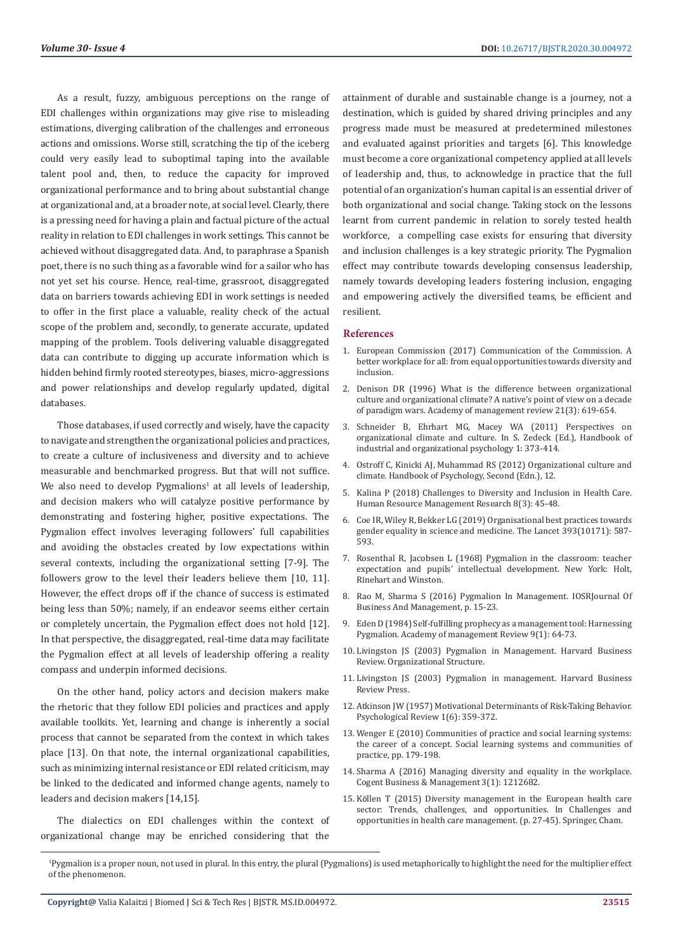As a result, fuzzy, ambiguous perceptions on the range of EDI challenges within organizations may give rise to misleading estimations, diverging calibration of the challenges and erroneous actions and omissions. Worse still, scratching the tip of the iceberg could very easily lead to suboptimal taping into the available talent pool and, then, to reduce the capacity for improved organizational performance and to bring about substantial change at organizational and, at a broader note, at social level. Clearly, there is a pressing need for having a plain and factual picture of the actual reality in relation to EDI challenges in work settings. This cannot be achieved without disaggregated data. And, to paraphrase a Spanish poet, there is no such thing as a favorable wind for a sailor who has not yet set his course. Hence, real-time, grassroot, disaggregated data on barriers towards achieving EDI in work settings is needed to offer in the first place a valuable, reality check of the actual scope of the problem and, secondly, to generate accurate, updated mapping of the problem. Tools delivering valuable disaggregated data can contribute to digging up accurate information which is hidden behind firmly rooted stereotypes, biases, micro-aggressions and power relationships and develop regularly updated, digital databases.

Those databases, if used correctly and wisely, have the capacity to navigate and strengthen the organizational policies and practices, to create a culture of inclusiveness and diversity and to achieve measurable and benchmarked progress. But that will not suffice. We also need to develop  $Py$ gmalions<sup>1</sup> at all levels of leadership, and decision makers who will catalyze positive performance by demonstrating and fostering higher, positive expectations. The Pygmalion effect involves leveraging followers' full capabilities and avoiding the obstacles created by low expectations within several contexts, including the organizational setting [7-9]. The followers grow to the level their leaders believe them [10, 11]. However, the effect drops off if the chance of success is estimated being less than 50%; namely, if an endeavor seems either certain or completely uncertain, the Pygmalion effect does not hold [12]. In that perspective, the disaggregated, real-time data may facilitate the Pygmalion effect at all levels of leadership offering a reality compass and underpin informed decisions.

On the other hand, policy actors and decision makers make the rhetoric that they follow EDI policies and practices and apply available toolkits. Yet, learning and change is inherently a social process that cannot be separated from the context in which takes place [13]. On that note, the internal organizational capabilities, such as minimizing internal resistance or EDI related criticism, may be linked to the dedicated and informed change agents, namely to leaders and decision makers [14,15].

The dialectics on EDI challenges within the context of organizational change may be enriched considering that the

attainment of durable and sustainable change is a journey, not a destination, which is guided by shared driving principles and any progress made must be measured at predetermined milestones and evaluated against priorities and targets [6]. This knowledge must become a core organizational competency applied at all levels of leadership and, thus, to acknowledge in practice that the full potential of an organization's human capital is an essential driver of both organizational and social change. Taking stock on the lessons learnt from current pandemic in relation to sorely tested health workforce, a compelling case exists for ensuring that diversity and inclusion challenges is a key strategic priority. The Pygmalion effect may contribute towards developing consensus leadership, namely towards developing leaders fostering inclusion, engaging and empowering actively the diversified teams, be efficient and resilient.

#### **References**

- 1. European Commission (2017) Communication of the Commission. A better workplace for all: from equal opportunities towards diversity and inclusion.
- 2. [Denison DR \(1996\) What is the difference between organizational](https://psycnet.apa.org/record/1996-01952-001) [culture and organizational climate? A native's point of view on a decade](https://psycnet.apa.org/record/1996-01952-001) [of paradigm wars. Academy of management review 21\(3\): 619-654.](https://psycnet.apa.org/record/1996-01952-001)
- 3. [Schneider B, Ehrhart MG, Macey WA \(2011\) Perspectives on](https://psycnet.apa.org/record/2009-22818-012) [organizational climate and culture. In S. Zedeck \(Ed.\), Handbook of](https://psycnet.apa.org/record/2009-22818-012) [industrial and organizational psychology 1: 373-414.](https://psycnet.apa.org/record/2009-22818-012)
- 4. [Ostroff C, Kinicki AJ, Muhammad RS \(2012\) Organizational culture and](https://onlinelibrary.wiley.com/doi/abs/10.1002/9781118133880.hop212024) [climate. Handbook of Psychology, Second \(Edn.\), 12.](https://onlinelibrary.wiley.com/doi/abs/10.1002/9781118133880.hop212024)
- 5. [Kalina P \(2018\) Challenges to Diversity and Inclusion in Health Care.](http://article.sapub.org/10.5923.j.hrmr.20180803.01.html) [Human Resource Management Research 8\(3\): 45-48.](http://article.sapub.org/10.5923.j.hrmr.20180803.01.html)
- 6. [Coe IR, Wiley R, Bekker LG \(2019\) Organisational best practices towards](https://www.sciencedirect.com/science/article/pii/S014067361833188X) [gender equality in science and medicine. The Lancet 393\(10171\): 587-](https://www.sciencedirect.com/science/article/pii/S014067361833188X) [593.](https://www.sciencedirect.com/science/article/pii/S014067361833188X)
- 7. [Rosenthal R, Jacobsen L \(1968\) Pygmalion in the classroom: teacher](https://www.worldcat.org/title/pygmalion-in-the-classroom-teacher-expectation-and-pupils-intellectual-development/oclc/167921) [expectation and pupils' intellectual development. New York: Holt,](https://www.worldcat.org/title/pygmalion-in-the-classroom-teacher-expectation-and-pupils-intellectual-development/oclc/167921) [Rinehart and Winston.](https://www.worldcat.org/title/pygmalion-in-the-classroom-teacher-expectation-and-pupils-intellectual-development/oclc/167921)
- 8. [Rao M, Sharma S \(2016\) Pygmalion In Management. IOSRJournal Of](http://www.iosrjournals.org/iosr-jbm/papers/IESMCRC/Volume%202/15.23.pdf) [Business And Management, p. 15-23.](http://www.iosrjournals.org/iosr-jbm/papers/IESMCRC/Volume%202/15.23.pdf)
- 9. [Eden D \(1984\) Self-fulfilling prophecy as a management tool: Harnessing](https://www.jstor.org/stable/258233) [Pygmalion. Academy of management Review 9\(1\): 64-73.](https://www.jstor.org/stable/258233)
- 10. [Livingston JS \(2003\) Pygmalion in Management. Harvard Business](https://hbr.org/2003/01/pygmalion-in-management) [Review. Organizational Structure.](https://hbr.org/2003/01/pygmalion-in-management)
- 11. [Livingston JS \(2003\) Pygmalion in management. Harvard Business](https://store.hbr.org/product/pygmalion-in-management-hbr-classic/R0301G) [Review Press.](https://store.hbr.org/product/pygmalion-in-management-hbr-classic/R0301G)
- 12. [Atkinson JW \(1957\) Motivational Determinants of Risk-Taking Behavior.](https://pubmed.ncbi.nlm.nih.gov/13505972/) [Psychological Review 1\(6\): 359-372.](https://pubmed.ncbi.nlm.nih.gov/13505972/)
- 13. [Wenger E \(2010\) Communities of practice and social learning systems:](https://link.springer.com/chapter/10.1007/978-1-84996-133-2_11) [the career of a concept. Social learning systems and communities of](https://link.springer.com/chapter/10.1007/978-1-84996-133-2_11) [practice, pp. 179-198.](https://link.springer.com/chapter/10.1007/978-1-84996-133-2_11)
- 14. [Sharma A \(2016\) Managing diversity and equality in the workplace.](https://www.tandfonline.com/doi/full/10.1080/23311975.2016.1212682) [Cogent Business & Management 3\(1\): 1212682.](https://www.tandfonline.com/doi/full/10.1080/23311975.2016.1212682)
- 15. Kö[llen T \(2015\) Diversity management in the European health care](https://bach.wu.ac.at/d/research/results/69168/) [sector: Trends, challenges, and opportunities. In Challenges and](https://bach.wu.ac.at/d/research/results/69168/) [opportunities in health care management. \(p. 27-45\). Springer, Cham.](https://bach.wu.ac.at/d/research/results/69168/)

<sup>1</sup> Pygmalion is a proper noun, not used in plural. In this entry, the plural (Pygmalions) is used metaphorically to highlight the need for the multiplier effect of the phenomenon.